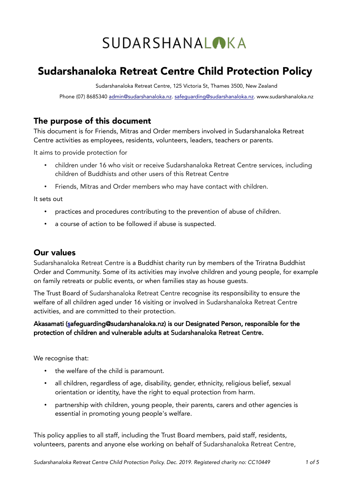# **SUDARSHANALOKA**

# Sudarshanaloka Retreat Centre Child Protection Policy

Sudarshanaloka Retreat Centre, 125 Victoria St, Thames 3500, New Zealand

Phone (07) 8685340 [admin@sudarshanaloka.nz.](mailto:admin@sudarshanaloka.nz) [safeguarding@sudarshanaloka.nz.](mailto:safeguarding@sudarshanaloka.nz) www.sudarshanaloka.nz

# The purpose of this document

This document is for Friends, Mitras and Order members involved in Sudarshanaloka Retreat Centre activities as employees, residents, volunteers, leaders, teachers or parents.

It aims to provide protection for

- children under 16 who visit or receive Sudarshanaloka Retreat Centre services, including children of Buddhists and other users of this Retreat Centre
- Friends, Mitras and Order members who may have contact with children.

It sets out

- practices and procedures contributing to the prevention of abuse of children.
- a course of action to be followed if abuse is suspected.

# Our values

Sudarshanaloka Retreat Centre is a Buddhist charity run by members of the Triratna Buddhist Order and Community. Some of its activities may involve children and young people, for example on family retreats or public events, or when families stay as house guests.

The Trust Board of Sudarshanaloka Retreat Centre recognise its responsibility to ensure the welfare of all children aged under 16 visiting or involved in Sudarshanaloka Retreat Centre activities, and are committed to their protection.

#### Akasamati [\(sa](mailto:akasamati@gmail.com)feguarding@sudarshanaloka.nz) is our Designated Person, responsible for the protection of children and vulnerable adults at Sudarshanaloka Retreat Centre.

We recognise that:

- the welfare of the child is paramount.
- all children, regardless of age, disability, gender, ethnicity, religious belief, sexual orientation or identity, have the right to equal protection from harm.
- partnership with children, young people, their parents, carers and other agencies is essential in promoting young people's welfare.

This policy applies to all staff, including the Trust Board members, paid staff, residents, volunteers, parents and anyone else working on behalf of Sudarshanaloka Retreat Centre,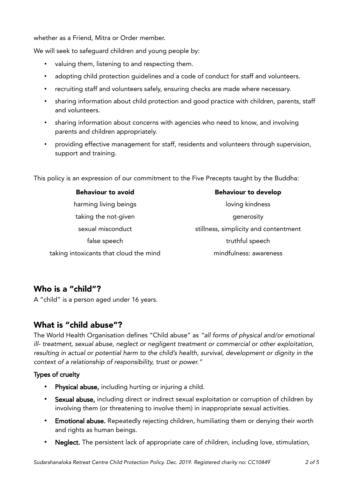whether as a Friend, Mitra or Order member.

We will seek to safequard children and young people by:

- valuing them, listening to and respecting them.
- adopting child protection guidelines and a code of conduct for staff and volunteers.
- recruiting staff and volunteers safely, ensuring checks are made where necessary.
- sharing information about child protection and good practice with children, parents, staff and volunteers.
- sharing information about concerns with agencies who need to know, and involving parents and children appropriately.
- providing effective management for staff, residents and volunteers through supervision, support and training.

This policy is an expression of our commitment to the Five Precepts taught by the Buddha:

| <b>Behaviour to avoid</b>              | <b>Behaviour to develop</b>           |
|----------------------------------------|---------------------------------------|
| harming living beings                  | loving kindness                       |
| taking the not-given                   | generosity                            |
| sexual misconduct                      | stillness, simplicity and contentment |
| false speech                           | truthful speech                       |
| taking intoxicants that cloud the mind | mindfulness: awareness                |
|                                        |                                       |

# Who is a "child"?

A "child" is a person aged under 16 years.

# What is "child abuse"?

The World Health Organisation defines "Child abuse" as "all forms of physical and/or emotional ill- treatment, sexual abuse, neglect or negligent treatment or commercial or other exploitation, resulting in actual or potential harm to the child's health, survival, development or dignity in the context of a relationship of responsibility, trust or power."

#### Types of cruelty

- Physical abuse, including hurting or injuring a child.
- Sexual abuse, including direct or indirect sexual exploitation or corruption of children by involving them (or threatening to involve them) in inappropriate sexual activities.
- Emotional abuse. Repeatedly rejecting children, humiliating them or denying their worth and rights as human beings.
- Neglect. The persistent lack of appropriate care of children, including love, stimulation,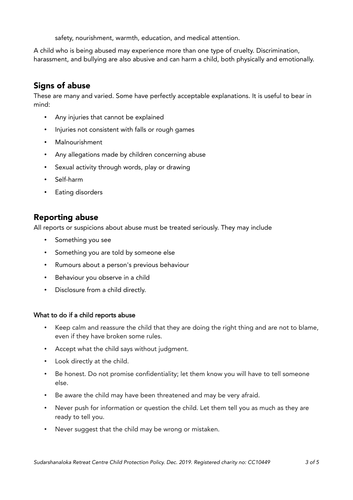safety, nourishment, warmth, education, and medical attention.

A child who is being abused may experience more than one type of cruelty. Discrimination, harassment, and bullying are also abusive and can harm a child, both physically and emotionally.

# Signs of abuse

These are many and varied. Some have perfectly acceptable explanations. It is useful to bear in mind:

- Any injuries that cannot be explained
- Injuries not consistent with falls or rough games
- Malnourishment
- Any allegations made by children concerning abuse
- Sexual activity through words, play or drawing
- Self-harm
- Eating disorders

# Reporting abuse

All reports or suspicions about abuse must be treated seriously. They may include

- Something you see
- Something you are told by someone else
- Rumours about a person's previous behaviour
- Behaviour you observe in a child
- Disclosure from a child directly.

#### What to do if a child reports abuse

- Keep calm and reassure the child that they are doing the right thing and are not to blame, even if they have broken some rules.
- Accept what the child says without judgment.
- Look directly at the child.
- Be honest. Do not promise confidentiality; let them know you will have to tell someone else.
- Be aware the child may have been threatened and may be very afraid.
- Never push for information or question the child. Let them tell you as much as they are ready to tell you.
- Never suggest that the child may be wrong or mistaken.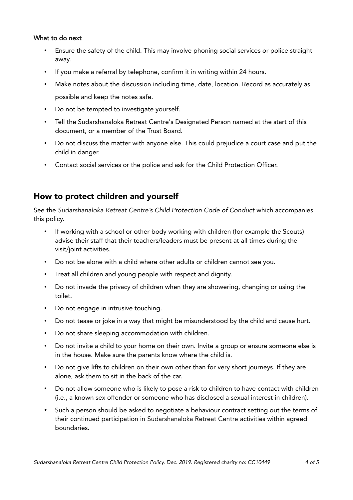#### What to do next

- Ensure the safety of the child. This may involve phoning social services or police straight away.
- If you make a referral by telephone, confirm it in writing within 24 hours.
- Make notes about the discussion including time, date, location. Record as accurately as possible and keep the notes safe.
- Do not be tempted to investigate yourself.
- Tell the Sudarshanaloka Retreat Centre's Designated Person named at the start of this document, or a member of the Trust Board.
- Do not discuss the matter with anyone else. This could prejudice a court case and put the child in danger.
- Contact social services or the police and ask for the Child Protection Officer.

# How to protect children and yourself

See the Sudarshanaloka Retreat Centre's Child Protection Code of Conduct which accompanies this policy.

- If working with a school or other body working with children (for example the Scouts) advise their staff that their teachers/leaders must be present at all times during the visit/joint activities.
- Do not be alone with a child where other adults or children cannot see you.
- Treat all children and young people with respect and dignity.
- Do not invade the privacy of children when they are showering, changing or using the toilet.
- Do not engage in intrusive touching.
- Do not tease or joke in a way that might be misunderstood by the child and cause hurt.
- Do not share sleeping accommodation with children.
- Do not invite a child to your home on their own. Invite a group or ensure someone else is in the house. Make sure the parents know where the child is.
- Do not give lifts to children on their own other than for very short journeys. If they are alone, ask them to sit in the back of the car.
- Do not allow someone who is likely to pose a risk to children to have contact with children (i.e., a known sex offender or someone who has disclosed a sexual interest in children).
- Such a person should be asked to negotiate a behaviour contract setting out the terms of their continued participation in Sudarshanaloka Retreat Centre activities within agreed boundaries.